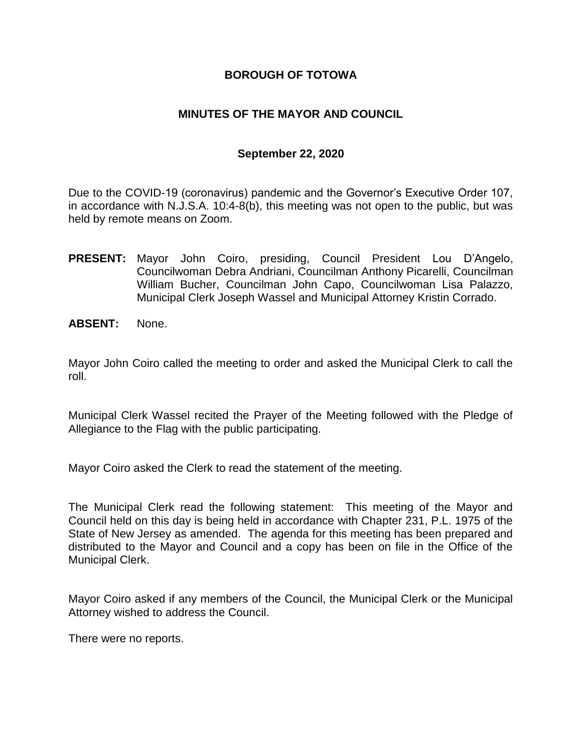#### **BOROUGH OF TOTOWA**

#### **MINUTES OF THE MAYOR AND COUNCIL**

#### **September 22, 2020**

Due to the COVID-19 (coronavirus) pandemic and the Governor's Executive Order 107, in accordance with N.J.S.A. 10:4-8(b), this meeting was not open to the public, but was held by remote means on Zoom.

- **PRESENT:** Mayor John Coiro, presiding, Council President Lou D'Angelo, Councilwoman Debra Andriani, Councilman Anthony Picarelli, Councilman William Bucher, Councilman John Capo, Councilwoman Lisa Palazzo, Municipal Clerk Joseph Wassel and Municipal Attorney Kristin Corrado.
- **ABSENT:** None.

Mayor John Coiro called the meeting to order and asked the Municipal Clerk to call the roll.

Municipal Clerk Wassel recited the Prayer of the Meeting followed with the Pledge of Allegiance to the Flag with the public participating.

Mayor Coiro asked the Clerk to read the statement of the meeting.

The Municipal Clerk read the following statement: This meeting of the Mayor and Council held on this day is being held in accordance with Chapter 231, P.L. 1975 of the State of New Jersey as amended. The agenda for this meeting has been prepared and distributed to the Mayor and Council and a copy has been on file in the Office of the Municipal Clerk.

Mayor Coiro asked if any members of the Council, the Municipal Clerk or the Municipal Attorney wished to address the Council.

There were no reports.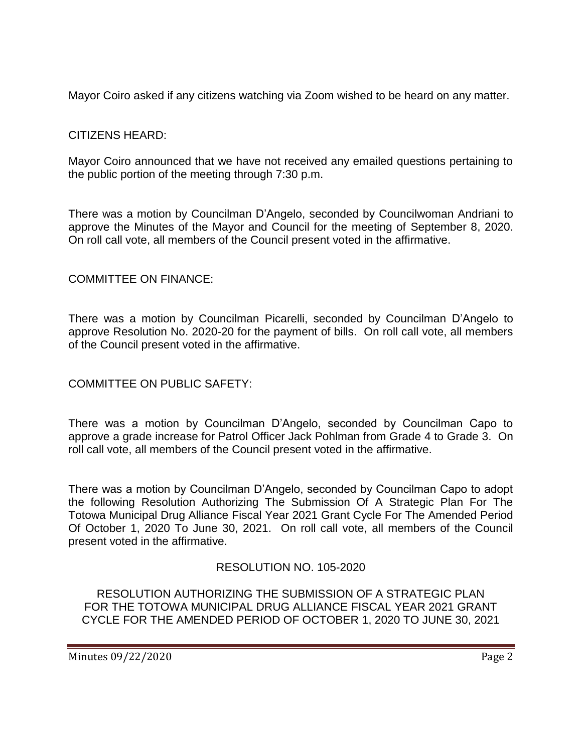Mayor Coiro asked if any citizens watching via Zoom wished to be heard on any matter.

# CITIZENS HEARD:

Mayor Coiro announced that we have not received any emailed questions pertaining to the public portion of the meeting through 7:30 p.m.

There was a motion by Councilman D'Angelo, seconded by Councilwoman Andriani to approve the Minutes of the Mayor and Council for the meeting of September 8, 2020. On roll call vote, all members of the Council present voted in the affirmative.

### COMMITTEE ON FINANCE:

There was a motion by Councilman Picarelli, seconded by Councilman D'Angelo to approve Resolution No. 2020-20 for the payment of bills. On roll call vote, all members of the Council present voted in the affirmative.

### COMMITTEE ON PUBLIC SAFETY:

There was a motion by Councilman D'Angelo, seconded by Councilman Capo to approve a grade increase for Patrol Officer Jack Pohlman from Grade 4 to Grade 3. On roll call vote, all members of the Council present voted in the affirmative.

There was a motion by Councilman D'Angelo, seconded by Councilman Capo to adopt the following Resolution Authorizing The Submission Of A Strategic Plan For The Totowa Municipal Drug Alliance Fiscal Year 2021 Grant Cycle For The Amended Period Of October 1, 2020 To June 30, 2021. On roll call vote, all members of the Council present voted in the affirmative.

### RESOLUTION NO. 105-2020

RESOLUTION AUTHORIZING THE SUBMISSION OF A STRATEGIC PLAN FOR THE TOTOWA MUNICIPAL DRUG ALLIANCE FISCAL YEAR 2021 GRANT CYCLE FOR THE AMENDED PERIOD OF OCTOBER 1, 2020 TO JUNE 30, 2021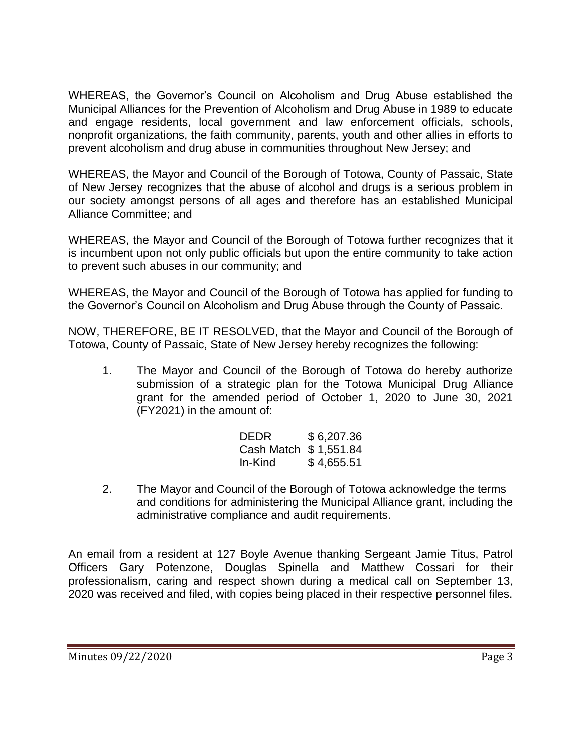WHEREAS, the Governor's Council on Alcoholism and Drug Abuse established the Municipal Alliances for the Prevention of Alcoholism and Drug Abuse in 1989 to educate and engage residents, local government and law enforcement officials, schools, nonprofit organizations, the faith community, parents, youth and other allies in efforts to prevent alcoholism and drug abuse in communities throughout New Jersey; and

WHEREAS, the Mayor and Council of the Borough of Totowa, County of Passaic, State of New Jersey recognizes that the abuse of alcohol and drugs is a serious problem in our society amongst persons of all ages and therefore has an established Municipal Alliance Committee; and

WHEREAS, the Mayor and Council of the Borough of Totowa further recognizes that it is incumbent upon not only public officials but upon the entire community to take action to prevent such abuses in our community; and

WHEREAS, the Mayor and Council of the Borough of Totowa has applied for funding to the Governor's Council on Alcoholism and Drug Abuse through the County of Passaic.

NOW, THEREFORE, BE IT RESOLVED, that the Mayor and Council of the Borough of Totowa, County of Passaic, State of New Jersey hereby recognizes the following:

1. The Mayor and Council of the Borough of Totowa do hereby authorize submission of a strategic plan for the Totowa Municipal Drug Alliance grant for the amended period of October 1, 2020 to June 30, 2021 (FY2021) in the amount of:

| <b>DEDR</b>           | \$6,207.36 |
|-----------------------|------------|
| Cash Match \$1,551.84 |            |
| In-Kind               | \$4,655.51 |

2. The Mayor and Council of the Borough of Totowa acknowledge the terms and conditions for administering the Municipal Alliance grant, including the administrative compliance and audit requirements.

An email from a resident at 127 Boyle Avenue thanking Sergeant Jamie Titus, Patrol Officers Gary Potenzone, Douglas Spinella and Matthew Cossari for their professionalism, caring and respect shown during a medical call on September 13, 2020 was received and filed, with copies being placed in their respective personnel files.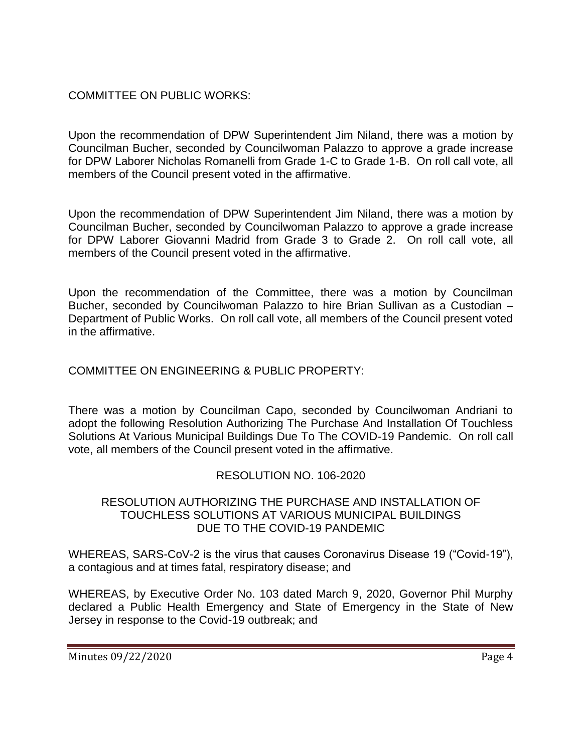# COMMITTEE ON PUBLIC WORKS:

Upon the recommendation of DPW Superintendent Jim Niland, there was a motion by Councilman Bucher, seconded by Councilwoman Palazzo to approve a grade increase for DPW Laborer Nicholas Romanelli from Grade 1-C to Grade 1-B. On roll call vote, all members of the Council present voted in the affirmative.

Upon the recommendation of DPW Superintendent Jim Niland, there was a motion by Councilman Bucher, seconded by Councilwoman Palazzo to approve a grade increase for DPW Laborer Giovanni Madrid from Grade 3 to Grade 2. On roll call vote, all members of the Council present voted in the affirmative.

Upon the recommendation of the Committee, there was a motion by Councilman Bucher, seconded by Councilwoman Palazzo to hire Brian Sullivan as a Custodian – Department of Public Works. On roll call vote, all members of the Council present voted in the affirmative.

### COMMITTEE ON ENGINEERING & PUBLIC PROPERTY:

There was a motion by Councilman Capo, seconded by Councilwoman Andriani to adopt the following Resolution Authorizing The Purchase And Installation Of Touchless Solutions At Various Municipal Buildings Due To The COVID-19 Pandemic. On roll call vote, all members of the Council present voted in the affirmative.

# RESOLUTION NO. 106-2020

#### RESOLUTION AUTHORIZING THE PURCHASE AND INSTALLATION OF TOUCHLESS SOLUTIONS AT VARIOUS MUNICIPAL BUILDINGS DUE TO THE COVID-19 PANDEMIC

WHEREAS, SARS-CoV-2 is the virus that causes Coronavirus Disease 19 ("Covid-19"), a contagious and at times fatal, respiratory disease; and

WHEREAS, by Executive Order No. 103 dated March 9, 2020, Governor Phil Murphy declared a Public Health Emergency and State of Emergency in the State of New Jersey in response to the Covid-19 outbreak; and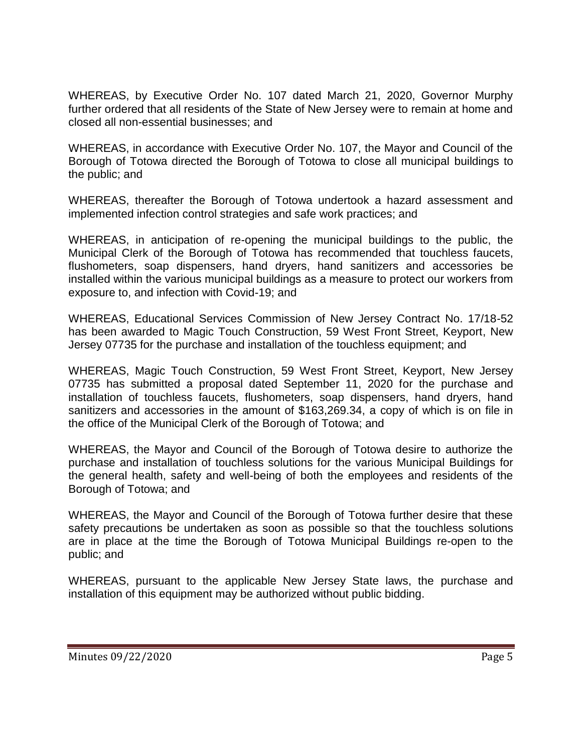WHEREAS, by Executive Order No. 107 dated March 21, 2020, Governor Murphy further ordered that all residents of the State of New Jersey were to remain at home and closed all non-essential businesses; and

WHEREAS, in accordance with Executive Order No. 107, the Mayor and Council of the Borough of Totowa directed the Borough of Totowa to close all municipal buildings to the public; and

WHEREAS, thereafter the Borough of Totowa undertook a hazard assessment and implemented infection control strategies and safe work practices; and

WHEREAS, in anticipation of re-opening the municipal buildings to the public, the Municipal Clerk of the Borough of Totowa has recommended that touchless faucets, flushometers, soap dispensers, hand dryers, hand sanitizers and accessories be installed within the various municipal buildings as a measure to protect our workers from exposure to, and infection with Covid-19; and

WHEREAS, Educational Services Commission of New Jersey Contract No. 17/18-52 has been awarded to Magic Touch Construction, 59 West Front Street, Keyport, New Jersey 07735 for the purchase and installation of the touchless equipment; and

WHEREAS, Magic Touch Construction, 59 West Front Street, Keyport, New Jersey 07735 has submitted a proposal dated September 11, 2020 for the purchase and installation of touchless faucets, flushometers, soap dispensers, hand dryers, hand sanitizers and accessories in the amount of \$163,269.34, a copy of which is on file in the office of the Municipal Clerk of the Borough of Totowa; and

WHEREAS, the Mayor and Council of the Borough of Totowa desire to authorize the purchase and installation of touchless solutions for the various Municipal Buildings for the general health, safety and well-being of both the employees and residents of the Borough of Totowa; and

WHEREAS, the Mayor and Council of the Borough of Totowa further desire that these safety precautions be undertaken as soon as possible so that the touchless solutions are in place at the time the Borough of Totowa Municipal Buildings re-open to the public; and

WHEREAS, pursuant to the applicable New Jersey State laws, the purchase and installation of this equipment may be authorized without public bidding.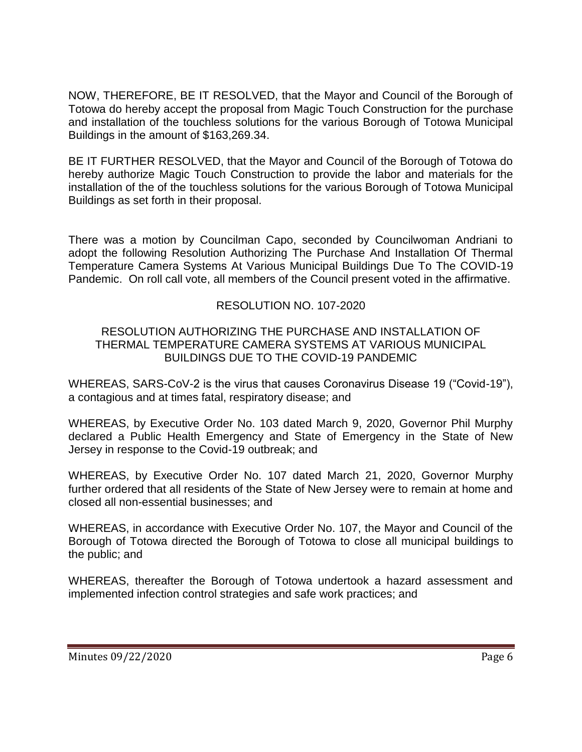NOW, THEREFORE, BE IT RESOLVED, that the Mayor and Council of the Borough of Totowa do hereby accept the proposal from Magic Touch Construction for the purchase and installation of the touchless solutions for the various Borough of Totowa Municipal Buildings in the amount of \$163,269.34.

BE IT FURTHER RESOLVED, that the Mayor and Council of the Borough of Totowa do hereby authorize Magic Touch Construction to provide the labor and materials for the installation of the of the touchless solutions for the various Borough of Totowa Municipal Buildings as set forth in their proposal.

There was a motion by Councilman Capo, seconded by Councilwoman Andriani to adopt the following Resolution Authorizing The Purchase And Installation Of Thermal Temperature Camera Systems At Various Municipal Buildings Due To The COVID-19 Pandemic. On roll call vote, all members of the Council present voted in the affirmative.

### RESOLUTION NO. 107-2020

#### RESOLUTION AUTHORIZING THE PURCHASE AND INSTALLATION OF THERMAL TEMPERATURE CAMERA SYSTEMS AT VARIOUS MUNICIPAL BUILDINGS DUE TO THE COVID-19 PANDEMIC

WHEREAS, SARS-CoV-2 is the virus that causes Coronavirus Disease 19 ("Covid-19"), a contagious and at times fatal, respiratory disease; and

WHEREAS, by Executive Order No. 103 dated March 9, 2020, Governor Phil Murphy declared a Public Health Emergency and State of Emergency in the State of New Jersey in response to the Covid-19 outbreak; and

WHEREAS, by Executive Order No. 107 dated March 21, 2020, Governor Murphy further ordered that all residents of the State of New Jersey were to remain at home and closed all non-essential businesses; and

WHEREAS, in accordance with Executive Order No. 107, the Mayor and Council of the Borough of Totowa directed the Borough of Totowa to close all municipal buildings to the public; and

WHEREAS, thereafter the Borough of Totowa undertook a hazard assessment and implemented infection control strategies and safe work practices; and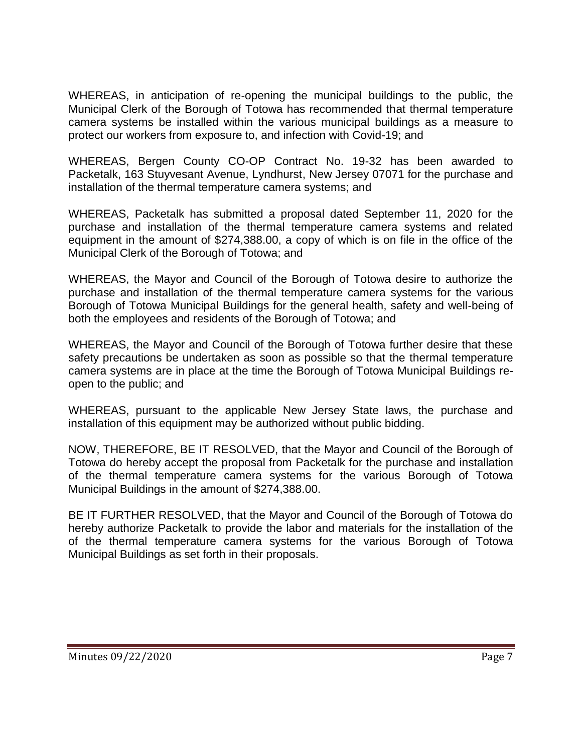WHEREAS, in anticipation of re-opening the municipal buildings to the public, the Municipal Clerk of the Borough of Totowa has recommended that thermal temperature camera systems be installed within the various municipal buildings as a measure to protect our workers from exposure to, and infection with Covid-19; and

WHEREAS, Bergen County CO-OP Contract No. 19-32 has been awarded to Packetalk, 163 Stuyvesant Avenue, Lyndhurst, New Jersey 07071 for the purchase and installation of the thermal temperature camera systems; and

WHEREAS, Packetalk has submitted a proposal dated September 11, 2020 for the purchase and installation of the thermal temperature camera systems and related equipment in the amount of \$274,388.00, a copy of which is on file in the office of the Municipal Clerk of the Borough of Totowa; and

WHEREAS, the Mayor and Council of the Borough of Totowa desire to authorize the purchase and installation of the thermal temperature camera systems for the various Borough of Totowa Municipal Buildings for the general health, safety and well-being of both the employees and residents of the Borough of Totowa; and

WHEREAS, the Mayor and Council of the Borough of Totowa further desire that these safety precautions be undertaken as soon as possible so that the thermal temperature camera systems are in place at the time the Borough of Totowa Municipal Buildings reopen to the public; and

WHEREAS, pursuant to the applicable New Jersey State laws, the purchase and installation of this equipment may be authorized without public bidding.

NOW, THEREFORE, BE IT RESOLVED, that the Mayor and Council of the Borough of Totowa do hereby accept the proposal from Packetalk for the purchase and installation of the thermal temperature camera systems for the various Borough of Totowa Municipal Buildings in the amount of \$274,388.00.

BE IT FURTHER RESOLVED, that the Mayor and Council of the Borough of Totowa do hereby authorize Packetalk to provide the labor and materials for the installation of the of the thermal temperature camera systems for the various Borough of Totowa Municipal Buildings as set forth in their proposals.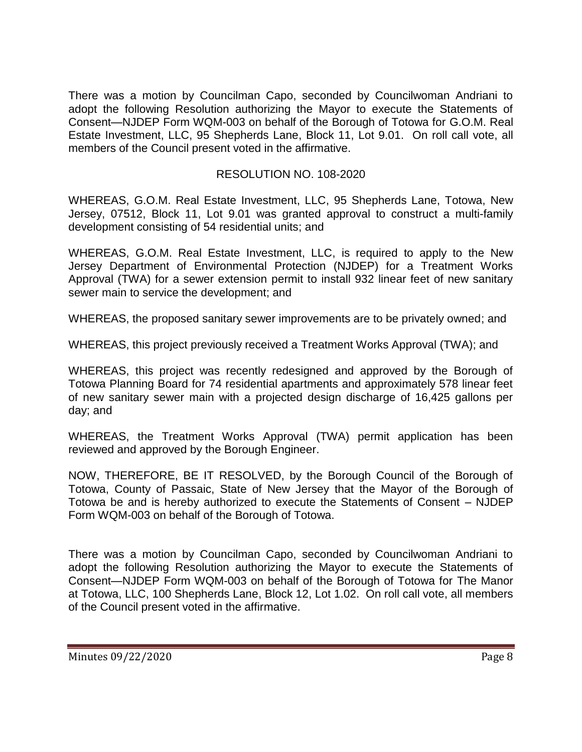There was a motion by Councilman Capo, seconded by Councilwoman Andriani to adopt the following Resolution authorizing the Mayor to execute the Statements of Consent—NJDEP Form WQM-003 on behalf of the Borough of Totowa for G.O.M. Real Estate Investment, LLC, 95 Shepherds Lane, Block 11, Lot 9.01. On roll call vote, all members of the Council present voted in the affirmative.

### RESOLUTION NO. 108-2020

WHEREAS, G.O.M. Real Estate Investment, LLC, 95 Shepherds Lane, Totowa, New Jersey, 07512, Block 11, Lot 9.01 was granted approval to construct a multi-family development consisting of 54 residential units; and

WHEREAS, G.O.M. Real Estate Investment, LLC, is required to apply to the New Jersey Department of Environmental Protection (NJDEP) for a Treatment Works Approval (TWA) for a sewer extension permit to install 932 linear feet of new sanitary sewer main to service the development; and

WHEREAS, the proposed sanitary sewer improvements are to be privately owned; and

WHEREAS, this project previously received a Treatment Works Approval (TWA); and

WHEREAS, this project was recently redesigned and approved by the Borough of Totowa Planning Board for 74 residential apartments and approximately 578 linear feet of new sanitary sewer main with a projected design discharge of 16,425 gallons per day; and

WHEREAS, the Treatment Works Approval (TWA) permit application has been reviewed and approved by the Borough Engineer.

NOW, THEREFORE, BE IT RESOLVED, by the Borough Council of the Borough of Totowa, County of Passaic, State of New Jersey that the Mayor of the Borough of Totowa be and is hereby authorized to execute the Statements of Consent – NJDEP Form WQM-003 on behalf of the Borough of Totowa.

There was a motion by Councilman Capo, seconded by Councilwoman Andriani to adopt the following Resolution authorizing the Mayor to execute the Statements of Consent—NJDEP Form WQM-003 on behalf of the Borough of Totowa for The Manor at Totowa, LLC, 100 Shepherds Lane, Block 12, Lot 1.02. On roll call vote, all members of the Council present voted in the affirmative.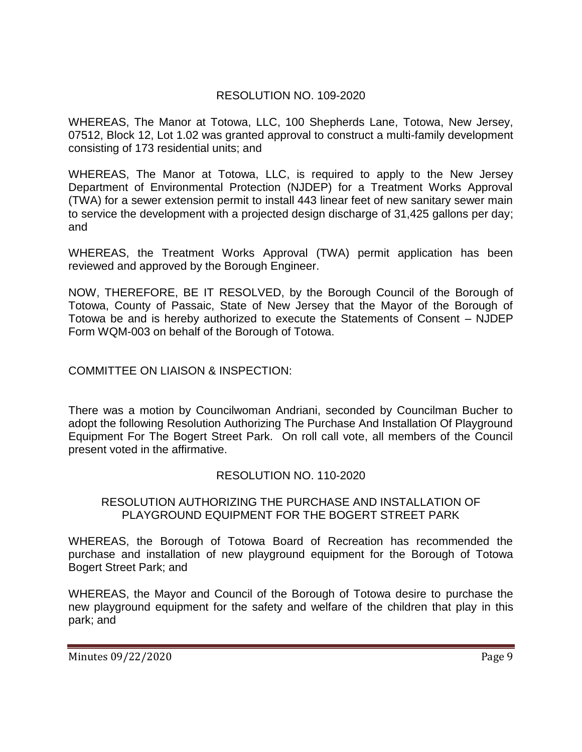### RESOLUTION NO. 109-2020

WHEREAS, The Manor at Totowa, LLC, 100 Shepherds Lane, Totowa, New Jersey, 07512, Block 12, Lot 1.02 was granted approval to construct a multi-family development consisting of 173 residential units; and

WHEREAS, The Manor at Totowa, LLC, is required to apply to the New Jersey Department of Environmental Protection (NJDEP) for a Treatment Works Approval (TWA) for a sewer extension permit to install 443 linear feet of new sanitary sewer main to service the development with a projected design discharge of 31,425 gallons per day; and

WHEREAS, the Treatment Works Approval (TWA) permit application has been reviewed and approved by the Borough Engineer.

NOW, THEREFORE, BE IT RESOLVED, by the Borough Council of the Borough of Totowa, County of Passaic, State of New Jersey that the Mayor of the Borough of Totowa be and is hereby authorized to execute the Statements of Consent – NJDEP Form WQM-003 on behalf of the Borough of Totowa.

COMMITTEE ON LIAISON & INSPECTION:

There was a motion by Councilwoman Andriani, seconded by Councilman Bucher to adopt the following Resolution Authorizing The Purchase And Installation Of Playground Equipment For The Bogert Street Park. On roll call vote, all members of the Council present voted in the affirmative.

### RESOLUTION NO. 110-2020

#### RESOLUTION AUTHORIZING THE PURCHASE AND INSTALLATION OF PLAYGROUND EQUIPMENT FOR THE BOGERT STREET PARK

WHEREAS, the Borough of Totowa Board of Recreation has recommended the purchase and installation of new playground equipment for the Borough of Totowa Bogert Street Park; and

WHEREAS, the Mayor and Council of the Borough of Totowa desire to purchase the new playground equipment for the safety and welfare of the children that play in this park; and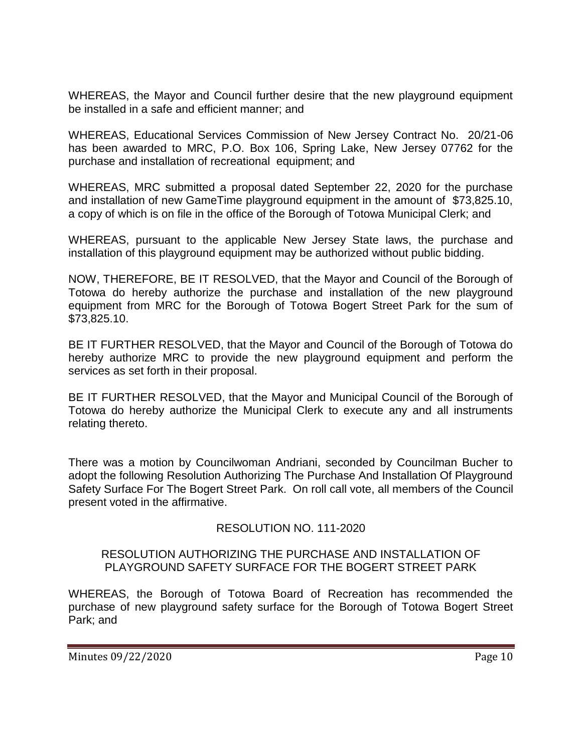WHEREAS, the Mayor and Council further desire that the new playground equipment be installed in a safe and efficient manner; and

WHEREAS, Educational Services Commission of New Jersey Contract No. 20/21-06 has been awarded to MRC, P.O. Box 106, Spring Lake, New Jersey 07762 for the purchase and installation of recreational equipment; and

WHEREAS, MRC submitted a proposal dated September 22, 2020 for the purchase and installation of new GameTime playground equipment in the amount of \$73,825.10, a copy of which is on file in the office of the Borough of Totowa Municipal Clerk; and

WHEREAS, pursuant to the applicable New Jersey State laws, the purchase and installation of this playground equipment may be authorized without public bidding.

NOW, THEREFORE, BE IT RESOLVED, that the Mayor and Council of the Borough of Totowa do hereby authorize the purchase and installation of the new playground equipment from MRC for the Borough of Totowa Bogert Street Park for the sum of \$73,825.10.

BE IT FURTHER RESOLVED, that the Mayor and Council of the Borough of Totowa do hereby authorize MRC to provide the new playground equipment and perform the services as set forth in their proposal.

BE IT FURTHER RESOLVED, that the Mayor and Municipal Council of the Borough of Totowa do hereby authorize the Municipal Clerk to execute any and all instruments relating thereto.

There was a motion by Councilwoman Andriani, seconded by Councilman Bucher to adopt the following Resolution Authorizing The Purchase And Installation Of Playground Safety Surface For The Bogert Street Park. On roll call vote, all members of the Council present voted in the affirmative.

### RESOLUTION NO. 111-2020

#### RESOLUTION AUTHORIZING THE PURCHASE AND INSTALLATION OF PLAYGROUND SAFETY SURFACE FOR THE BOGERT STREET PARK

WHEREAS, the Borough of Totowa Board of Recreation has recommended the purchase of new playground safety surface for the Borough of Totowa Bogert Street Park; and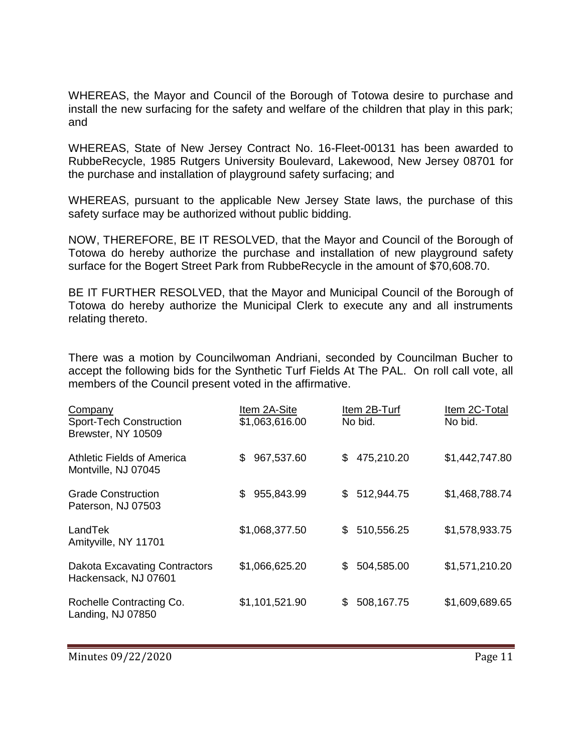WHEREAS, the Mayor and Council of the Borough of Totowa desire to purchase and install the new surfacing for the safety and welfare of the children that play in this park; and

WHEREAS, State of New Jersey Contract No. 16-Fleet-00131 has been awarded to RubbeRecycle, 1985 Rutgers University Boulevard, Lakewood, New Jersey 08701 for the purchase and installation of playground safety surfacing; and

WHEREAS, pursuant to the applicable New Jersey State laws, the purchase of this safety surface may be authorized without public bidding.

NOW, THEREFORE, BE IT RESOLVED, that the Mayor and Council of the Borough of Totowa do hereby authorize the purchase and installation of new playground safety surface for the Bogert Street Park from RubbeRecycle in the amount of \$70,608.70.

BE IT FURTHER RESOLVED, that the Mayor and Municipal Council of the Borough of Totowa do hereby authorize the Municipal Clerk to execute any and all instruments relating thereto.

There was a motion by Councilwoman Andriani, seconded by Councilman Bucher to accept the following bids for the Synthetic Turf Fields At The PAL. On roll call vote, all members of the Council present voted in the affirmative.

| Company<br>Sport-Tech Construction<br>Brewster, NY 10509     | Item 2A-Site<br>\$1,063,616.00 | Item 2B-Turf<br>No bid. | Item 2C-Total<br>No bid. |
|--------------------------------------------------------------|--------------------------------|-------------------------|--------------------------|
| Athletic Fields of America<br>Montville, NJ 07045            | 967,537.60<br>\$               | 475,210.20<br>\$        | \$1,442,747.80           |
| <b>Grade Construction</b><br>Paterson, NJ 07503              | 955,843.99<br>\$               | 512,944.75<br>\$        | \$1,468,788.74           |
| LandTek<br>Amityville, NY 11701                              | \$1,068,377.50                 | 510,556.25<br>\$        | \$1,578,933.75           |
| <b>Dakota Excavating Contractors</b><br>Hackensack, NJ 07601 | \$1,066,625.20                 | 504,585.00<br>\$        | \$1,571,210.20           |
| Rochelle Contracting Co.<br>Landing, NJ 07850                | \$1,101,521.90                 | 508,167.75<br>\$        | \$1,609,689.65           |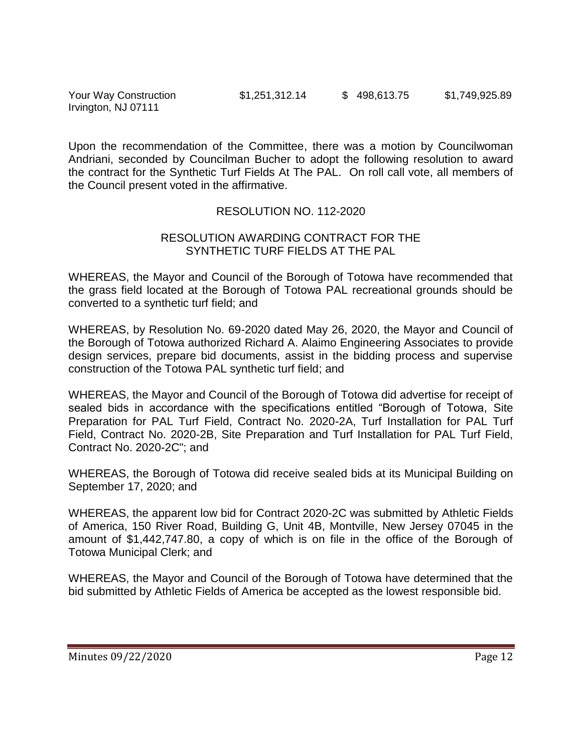Your Way Construction  $$1,251,312.14$   $$498,613.75$   $$1,749,925.89$ Irvington, NJ 07111

Upon the recommendation of the Committee, there was a motion by Councilwoman Andriani, seconded by Councilman Bucher to adopt the following resolution to award the contract for the Synthetic Turf Fields At The PAL. On roll call vote, all members of the Council present voted in the affirmative.

#### RESOLUTION NO. 112-2020

#### RESOLUTION AWARDING CONTRACT FOR THE SYNTHETIC TURF FIELDS AT THE PAL

WHEREAS, the Mayor and Council of the Borough of Totowa have recommended that the grass field located at the Borough of Totowa PAL recreational grounds should be converted to a synthetic turf field; and

WHEREAS, by Resolution No. 69-2020 dated May 26, 2020, the Mayor and Council of the Borough of Totowa authorized Richard A. Alaimo Engineering Associates to provide design services, prepare bid documents, assist in the bidding process and supervise construction of the Totowa PAL synthetic turf field; and

WHEREAS, the Mayor and Council of the Borough of Totowa did advertise for receipt of sealed bids in accordance with the specifications entitled "Borough of Totowa, Site Preparation for PAL Turf Field, Contract No. 2020-2A, Turf Installation for PAL Turf Field, Contract No. 2020-2B, Site Preparation and Turf Installation for PAL Turf Field, Contract No. 2020-2C"; and

WHEREAS, the Borough of Totowa did receive sealed bids at its Municipal Building on September 17, 2020; and

WHEREAS, the apparent low bid for Contract 2020-2C was submitted by Athletic Fields of America, 150 River Road, Building G, Unit 4B, Montville, New Jersey 07045 in the amount of \$1,442,747.80, a copy of which is on file in the office of the Borough of Totowa Municipal Clerk; and

WHEREAS, the Mayor and Council of the Borough of Totowa have determined that the bid submitted by Athletic Fields of America be accepted as the lowest responsible bid.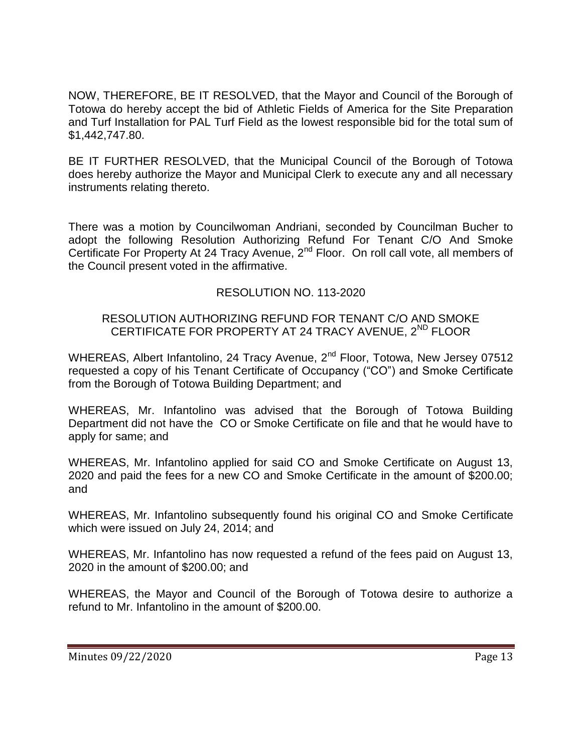NOW, THEREFORE, BE IT RESOLVED, that the Mayor and Council of the Borough of Totowa do hereby accept the bid of Athletic Fields of America for the Site Preparation and Turf Installation for PAL Turf Field as the lowest responsible bid for the total sum of \$1,442,747.80.

BE IT FURTHER RESOLVED, that the Municipal Council of the Borough of Totowa does hereby authorize the Mayor and Municipal Clerk to execute any and all necessary instruments relating thereto.

There was a motion by Councilwoman Andriani, seconded by Councilman Bucher to adopt the following Resolution Authorizing Refund For Tenant C/O And Smoke Certificate For Property At 24 Tracy Avenue, 2<sup>nd</sup> Floor. On roll call vote, all members of the Council present voted in the affirmative.

# RESOLUTION NO. 113-2020

#### RESOLUTION AUTHORIZING REFUND FOR TENANT C/O AND SMOKE CERTIFICATE FOR PROPERTY AT 24 TRACY AVENUE, 2<sup>ND</sup> FLOOR

WHEREAS, Albert Infantolino, 24 Tracy Avenue, 2<sup>nd</sup> Floor, Totowa, New Jersey 07512 requested a copy of his Tenant Certificate of Occupancy ("CO") and Smoke Certificate from the Borough of Totowa Building Department; and

WHEREAS, Mr. Infantolino was advised that the Borough of Totowa Building Department did not have the CO or Smoke Certificate on file and that he would have to apply for same; and

WHEREAS, Mr. Infantolino applied for said CO and Smoke Certificate on August 13, 2020 and paid the fees for a new CO and Smoke Certificate in the amount of \$200.00; and

WHEREAS, Mr. Infantolino subsequently found his original CO and Smoke Certificate which were issued on July 24, 2014; and

WHEREAS, Mr. Infantolino has now requested a refund of the fees paid on August 13, 2020 in the amount of \$200.00; and

WHEREAS, the Mayor and Council of the Borough of Totowa desire to authorize a refund to Mr. Infantolino in the amount of \$200.00.